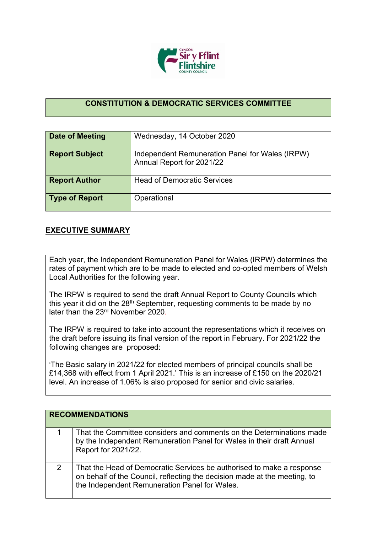

## **CONSTITUTION & DEMOCRATIC SERVICES COMMITTEE**

| Date of Meeting       | Wednesday, 14 October 2020                                                   |
|-----------------------|------------------------------------------------------------------------------|
| <b>Report Subject</b> | Independent Remuneration Panel for Wales (IRPW)<br>Annual Report for 2021/22 |
| <b>Report Author</b>  | <b>Head of Democratic Services</b>                                           |
| <b>Type of Report</b> | Operational                                                                  |

## **EXECUTIVE SUMMARY**

Each year, the Independent Remuneration Panel for Wales (IRPW) determines the rates of payment which are to be made to elected and co-opted members of Welsh Local Authorities for the following year.

The IRPW is required to send the draft Annual Report to County Councils which this year it did on the 28<sup>th</sup> September, requesting comments to be made by no later than the 23rd November 2020.

The IRPW is required to take into account the representations which it receives on the draft before issuing its final version of the report in February. For 2021/22 the following changes are proposed:

'The Basic salary in 2021/22 for elected members of principal councils shall be £14,368 with effect from 1 April 2021.' This is an increase of £150 on the 2020/21 level. An increase of 1.06% is also proposed for senior and civic salaries.

|   | <b>RECOMMENDATIONS</b>                                                                                                                                                                              |
|---|-----------------------------------------------------------------------------------------------------------------------------------------------------------------------------------------------------|
|   | That the Committee considers and comments on the Determinations made<br>by the Independent Remuneration Panel for Wales in their draft Annual<br>Report for 2021/22.                                |
| 2 | That the Head of Democratic Services be authorised to make a response<br>on behalf of the Council, reflecting the decision made at the meeting, to<br>the Independent Remuneration Panel for Wales. |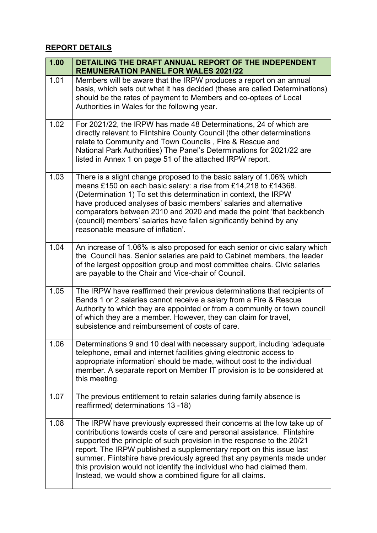## **REPORT DETAILS**

| 1.00 | DETAILING THE DRAFT ANNUAL REPORT OF THE INDEPENDENT<br><b>REMUNERATION PANEL FOR WALES 2021/22</b>                                                                                                                                                                                                                                                                                                                                                                                                                  |
|------|----------------------------------------------------------------------------------------------------------------------------------------------------------------------------------------------------------------------------------------------------------------------------------------------------------------------------------------------------------------------------------------------------------------------------------------------------------------------------------------------------------------------|
| 1.01 | Members will be aware that the IRPW produces a report on an annual<br>basis, which sets out what it has decided (these are called Determinations)<br>should be the rates of payment to Members and co-optees of Local<br>Authorities in Wales for the following year.                                                                                                                                                                                                                                                |
| 1.02 | For 2021/22, the IRPW has made 48 Determinations, 24 of which are<br>directly relevant to Flintshire County Council (the other determinations<br>relate to Community and Town Councils, Fire & Rescue and<br>National Park Authorities) The Panel's Determinations for 2021/22 are<br>listed in Annex 1 on page 51 of the attached IRPW report.                                                                                                                                                                      |
| 1.03 | There is a slight change proposed to the basic salary of 1.06% which<br>means £150 on each basic salary: a rise from £14,218 to £14368.<br>(Determination 1) To set this determination in context, the IRPW<br>have produced analyses of basic members' salaries and alternative<br>comparators between 2010 and 2020 and made the point 'that backbench<br>(council) members' salaries have fallen significantly behind by any<br>reasonable measure of inflation'.                                                 |
| 1.04 | An increase of 1.06% is also proposed for each senior or civic salary which<br>the Council has. Senior salaries are paid to Cabinet members, the leader<br>of the largest opposition group and most committee chairs. Civic salaries<br>are payable to the Chair and Vice-chair of Council.                                                                                                                                                                                                                          |
| 1.05 | The IRPW have reaffirmed their previous determinations that recipients of<br>Bands 1 or 2 salaries cannot receive a salary from a Fire & Rescue<br>Authority to which they are appointed or from a community or town council<br>of which they are a member. However, they can claim for travel,<br>subsistence and reimbursement of costs of care.                                                                                                                                                                   |
| 1.06 | Determinations 9 and 10 deal with necessary support, including 'adequate<br>telephone, email and internet facilities giving electronic access to<br>appropriate information' should be made, without cost to the individual<br>member. A separate report on Member IT provision is to be considered at<br>this meeting.                                                                                                                                                                                              |
| 1.07 | The previous entitlement to retain salaries during family absence is<br>reaffirmed(determinations 13-18)                                                                                                                                                                                                                                                                                                                                                                                                             |
| 1.08 | The IRPW have previously expressed their concerns at the low take up of<br>contributions towards costs of care and personal assistance. Flintshire<br>supported the principle of such provision in the response to the 20/21<br>report. The IRPW published a supplementary report on this issue last<br>summer. Flintshire have previously agreed that any payments made under<br>this provision would not identify the individual who had claimed them.<br>Instead, we would show a combined figure for all claims. |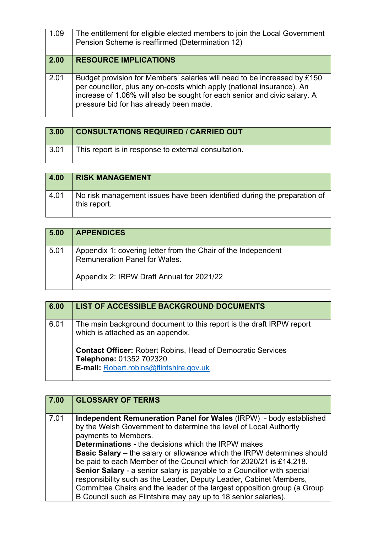| 1.09 | The entitlement for eligible elected members to join the Local Government<br>Pension Scheme is reaffirmed (Determination 12)                                                                                                                                               |
|------|----------------------------------------------------------------------------------------------------------------------------------------------------------------------------------------------------------------------------------------------------------------------------|
| 2.00 | <b>RESOURCE IMPLICATIONS</b>                                                                                                                                                                                                                                               |
| 2.01 | Budget provision for Members' salaries will need to be increased by £150<br>per councillor, plus any on-costs which apply (national insurance). An<br>increase of 1.06% will also be sought for each senior and civic salary. A<br>pressure bid for has already been made. |

| 3.00               | <b>CONSULTATIONS REQUIRED / CARRIED OUT</b>          |
|--------------------|------------------------------------------------------|
| $\vert 3.01 \vert$ | This report is in response to external consultation. |

| 4.00 | <b>RISK MANAGEMENT</b>                                                                   |
|------|------------------------------------------------------------------------------------------|
| 4.01 | No risk management issues have been identified during the preparation of<br>this report. |

| 5.00 | <b>APPENDICES</b>                                                                              |
|------|------------------------------------------------------------------------------------------------|
| 5.01 | Appendix 1: covering letter from the Chair of the Independent<br>Remuneration Panel for Wales. |
|      | Appendix 2: IRPW Draft Annual for 2021/22                                                      |

| 6.00 | <b>LIST OF ACCESSIBLE BACKGROUND DOCUMENTS</b>                                                                                           |
|------|------------------------------------------------------------------------------------------------------------------------------------------|
| 6.01 | The main background document to this report is the draft IRPW report<br>which is attached as an appendix.                                |
|      | <b>Contact Officer: Robert Robins, Head of Democratic Services</b><br>Telephone: 01352 702320<br>E-mail: Robert.robins@flintshire.gov.uk |

| $ 7.00\rangle$ | <b>GLOSSARY OF TERMS</b>                                                                                                                                                                                                                                                                                                                                                                                                                                                                                                                                                                                                                                                                      |
|----------------|-----------------------------------------------------------------------------------------------------------------------------------------------------------------------------------------------------------------------------------------------------------------------------------------------------------------------------------------------------------------------------------------------------------------------------------------------------------------------------------------------------------------------------------------------------------------------------------------------------------------------------------------------------------------------------------------------|
| 7.01           | <b>Independent Remuneration Panel for Wales (IRPW)</b> - body established<br>by the Welsh Government to determine the level of Local Authority<br>payments to Members.<br><b>Determinations - the decisions which the IRPW makes</b><br><b>Basic Salary</b> – the salary or allowance which the IRPW determines should<br>be paid to each Member of the Council which for 2020/21 is £14,218.<br>Senior Salary - a senior salary is payable to a Councillor with special<br>responsibility such as the Leader, Deputy Leader, Cabinet Members,<br>Committee Chairs and the leader of the largest opposition group (a Group<br>B Council such as Flintshire may pay up to 18 senior salaries). |